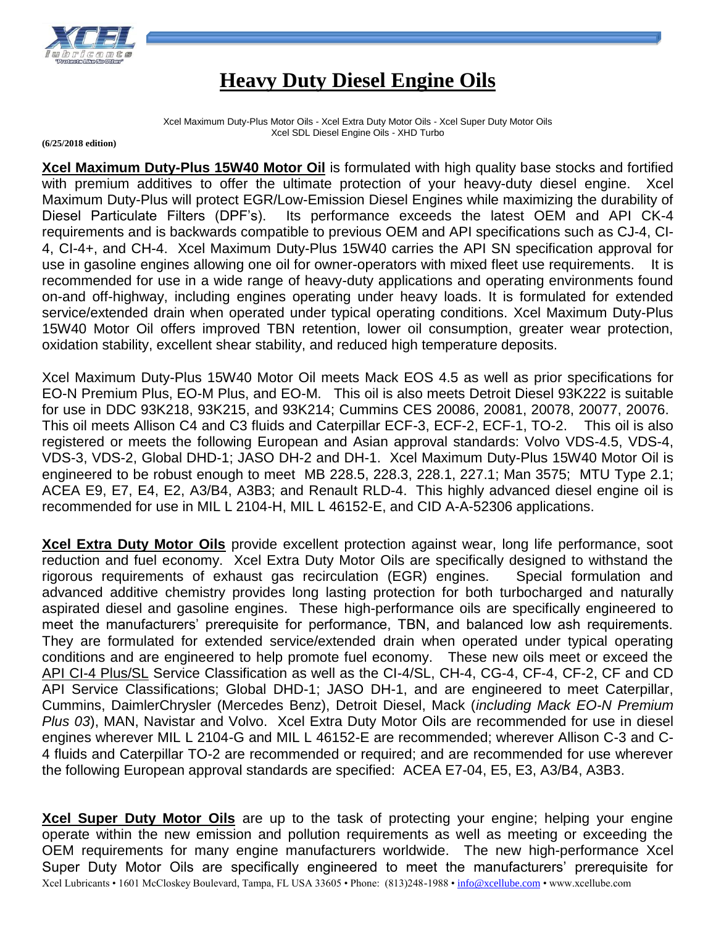

## **Heavy Duty Diesel Engine Oils**

Xcel Maximum Duty-Plus Motor Oils - Xcel Extra Duty Motor Oils - Xcel Super Duty Motor Oils Xcel SDL Diesel Engine Oils - XHD Turbo

**(6/25/2018 edition)**

**Xcel Maximum Duty-Plus 15W40 Motor Oil** is formulated with high quality base stocks and fortified with premium additives to offer the ultimate protection of your heavy-duty diesel engine. Xcel Maximum Duty-Plus will protect EGR/Low-Emission Diesel Engines while maximizing the durability of Diesel Particulate Filters (DPF's). Its performance exceeds the latest OEM and API CK-4 requirements and is backwards compatible to previous OEM and API specifications such as CJ-4, CI-4, CI-4+, and CH-4. Xcel Maximum Duty-Plus 15W40 carries the API SN specification approval for use in gasoline engines allowing one oil for owner-operators with mixed fleet use requirements. It is recommended for use in a wide range of heavy-duty applications and operating environments found on-and off-highway, including engines operating under heavy loads. It is formulated for extended service/extended drain when operated under typical operating conditions. Xcel Maximum Duty-Plus 15W40 Motor Oil offers improved TBN retention, lower oil consumption, greater wear protection, oxidation stability, excellent shear stability, and reduced high temperature deposits.

Xcel Maximum Duty-Plus 15W40 Motor Oil meets Mack EOS 4.5 as well as prior specifications for EO-N Premium Plus, EO-M Plus, and EO-M. This oil is also meets Detroit Diesel 93K222 is suitable for use in DDC 93K218, 93K215, and 93K214; Cummins CES 20086, 20081, 20078, 20077, 20076. This oil meets Allison C4 and C3 fluids and Caterpillar ECF-3, ECF-2, ECF-1, TO-2. This oil is also registered or meets the following European and Asian approval standards: Volvo VDS-4.5, VDS-4, VDS-3, VDS-2, Global DHD-1; JASO DH-2 and DH-1. Xcel Maximum Duty-Plus 15W40 Motor Oil is engineered to be robust enough to meet MB 228.5, 228.3, 228.1, 227.1; Man 3575; MTU Type 2.1; ACEA E9, E7, E4, E2, A3/B4, A3B3; and Renault RLD-4. This highly advanced diesel engine oil is recommended for use in MIL L 2104-H, MIL L 46152-E, and CID A-A-52306 applications.

**Xcel Extra Duty Motor Oils** provide excellent protection against wear, long life performance, soot reduction and fuel economy. Xcel Extra Duty Motor Oils are specifically designed to withstand the rigorous requirements of exhaust gas recirculation (EGR) engines. Special formulation and advanced additive chemistry provides long lasting protection for both turbocharged and naturally aspirated diesel and gasoline engines. These high-performance oils are specifically engineered to meet the manufacturers' prerequisite for performance, TBN, and balanced low ash requirements. They are formulated for extended service/extended drain when operated under typical operating conditions and are engineered to help promote fuel economy. These new oils meet or exceed the API CI-4 Plus/SL Service Classification as well as the CI-4/SL, CH-4, CG-4, CF-4, CF-2, CF and CD API Service Classifications; Global DHD-1; JASO DH-1, and are engineered to meet Caterpillar, Cummins, DaimlerChrysler (Mercedes Benz), Detroit Diesel, Mack (*including Mack EO-N Premium Plus 03*), MAN, Navistar and Volvo. Xcel Extra Duty Motor Oils are recommended for use in diesel engines wherever MIL L 2104-G and MIL L 46152-E are recommended; wherever Allison C-3 and C-4 fluids and Caterpillar TO-2 are recommended or required; and are recommended for use wherever the following European approval standards are specified: ACEA E7-04, E5, E3, A3/B4, A3B3.

Xcel Lubricants • 1601 McCloskey Boulevard, Tampa, FL USA 33605 • Phone: (813)248-1988 [• info@xcellube.com](mailto:info@xcellube.com) • www.xcellube.com **Xcel Super Duty Motor Oils** are up to the task of protecting your engine; helping your engine operate within the new emission and pollution requirements as well as meeting or exceeding the OEM requirements for many engine manufacturers worldwide. The new high-performance Xcel Super Duty Motor Oils are specifically engineered to meet the manufacturers' prerequisite for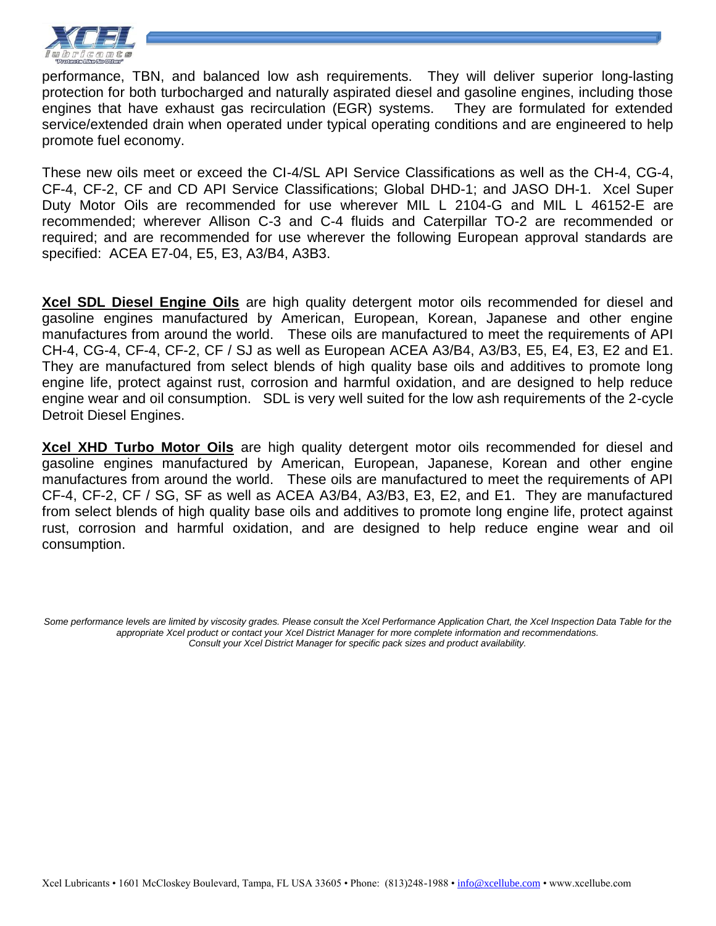

performance, TBN, and balanced low ash requirements. They will deliver superior long-lasting protection for both turbocharged and naturally aspirated diesel and gasoline engines, including those engines that have exhaust gas recirculation (EGR) systems. They are formulated for extended service/extended drain when operated under typical operating conditions and are engineered to help promote fuel economy.

These new oils meet or exceed the CI-4/SL API Service Classifications as well as the CH-4, CG-4, CF-4, CF-2, CF and CD API Service Classifications; Global DHD-1; and JASO DH-1. Xcel Super Duty Motor Oils are recommended for use wherever MIL L 2104-G and MIL L 46152-E are recommended; wherever Allison C-3 and C-4 fluids and Caterpillar TO-2 are recommended or required; and are recommended for use wherever the following European approval standards are specified: ACEA E7-04, E5, E3, A3/B4, A3B3.

**Xcel SDL Diesel Engine Oils** are high quality detergent motor oils recommended for diesel and gasoline engines manufactured by American, European, Korean, Japanese and other engine manufactures from around the world. These oils are manufactured to meet the requirements of API CH-4, CG-4, CF-4, CF-2, CF / SJ as well as European ACEA A3/B4, A3/B3, E5, E4, E3, E2 and E1. They are manufactured from select blends of high quality base oils and additives to promote long engine life, protect against rust, corrosion and harmful oxidation, and are designed to help reduce engine wear and oil consumption. SDL is very well suited for the low ash requirements of the 2-cycle Detroit Diesel Engines.

**Xcel XHD Turbo Motor Oils** are high quality detergent motor oils recommended for diesel and gasoline engines manufactured by American, European, Japanese, Korean and other engine manufactures from around the world. These oils are manufactured to meet the requirements of API CF-4, CF-2, CF / SG, SF as well as ACEA A3/B4, A3/B3, E3, E2, and E1. They are manufactured from select blends of high quality base oils and additives to promote long engine life, protect against rust, corrosion and harmful oxidation, and are designed to help reduce engine wear and oil consumption.

Some performance levels are limited by viscosity grades. Please consult the Xcel Performance Application Chart, the Xcel Inspection Data Table for the *appropriate Xcel product or contact your Xcel District Manager for more complete information and recommendations. Consult your Xcel District Manager for specific pack sizes and product availability.*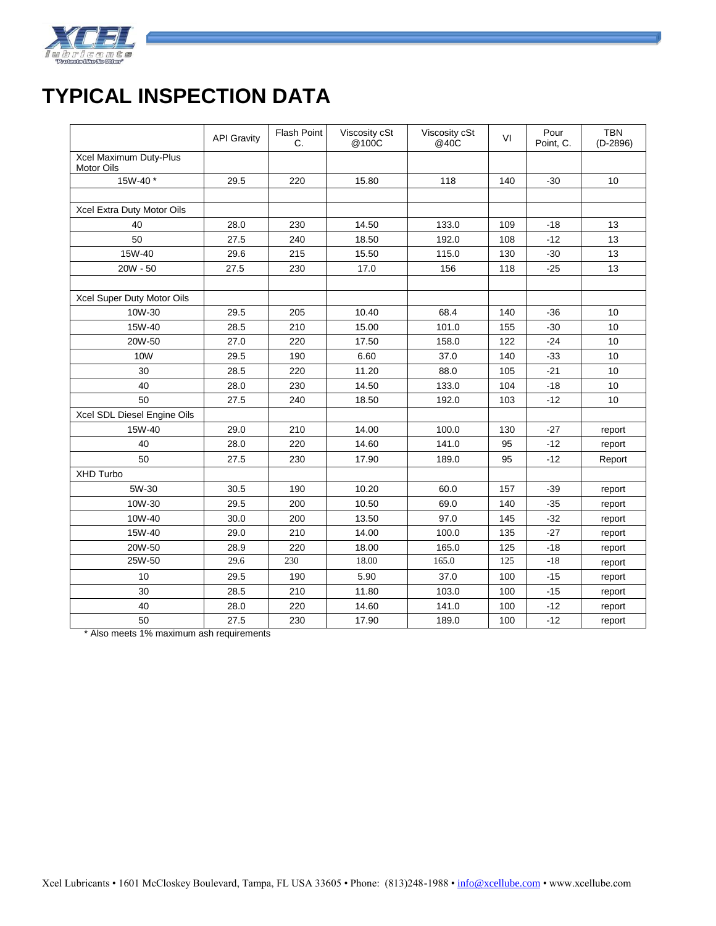

## **TYPICAL INSPECTION DATA**

|                                      | <b>API Gravity</b> | Flash Point<br>C. | Viscosity cSt<br>@100C | Viscosity cSt<br>@40C | VI  | Pour<br>Point, C. | <b>TBN</b><br>$(D-2896)$ |
|--------------------------------------|--------------------|-------------------|------------------------|-----------------------|-----|-------------------|--------------------------|
| Xcel Maximum Duty-Plus<br>Motor Oils |                    |                   |                        |                       |     |                   |                          |
| 15W-40*                              | 29.5               | 220               | 15.80                  | 118                   | 140 | $-30$             | 10                       |
|                                      |                    |                   |                        |                       |     |                   |                          |
| Xcel Extra Duty Motor Oils           |                    |                   |                        |                       |     |                   |                          |
| 40                                   | 28.0               | 230               | 14.50                  | 133.0                 | 109 | $-18$             | 13                       |
| 50                                   | 27.5               | 240               | 18.50                  | 192.0                 | 108 | $-12$             | 13                       |
| 15W-40                               | 29.6               | 215               | 15.50                  | 115.0                 | 130 | $-30$             | 13                       |
| $20W - 50$                           | 27.5               | 230               | 17.0                   | 156                   | 118 | $-25$             | 13                       |
|                                      |                    |                   |                        |                       |     |                   |                          |
| Xcel Super Duty Motor Oils           |                    |                   |                        |                       |     |                   |                          |
| 10W-30                               | 29.5               | 205               | 10.40                  | 68.4                  | 140 | $-36$             | 10                       |
| 15W-40                               | 28.5               | 210               | 15.00                  | 101.0                 | 155 | $-30$             | 10                       |
| 20W-50                               | 27.0               | 220               | 17.50                  | 158.0                 | 122 | $-24$             | 10                       |
| 10W                                  | 29.5               | 190               | 6.60                   | 37.0                  | 140 | $-33$             | 10                       |
| 30                                   | 28.5               | 220               | 11.20                  | 88.0                  | 105 | $-21$             | 10                       |
| 40                                   | 28.0               | 230               | 14.50                  | 133.0                 | 104 | $-18$             | 10                       |
| 50                                   | 27.5               | 240               | 18.50                  | 192.0                 | 103 | $-12$             | 10                       |
| Xcel SDL Diesel Engine Oils          |                    |                   |                        |                       |     |                   |                          |
| 15W-40                               | 29.0               | 210               | 14.00                  | 100.0                 | 130 | $-27$             | report                   |
| 40                                   | 28.0               | 220               | 14.60                  | 141.0                 | 95  | $-12$             | report                   |
| 50                                   | 27.5               | 230               | 17.90                  | 189.0                 | 95  | $-12$             | Report                   |
| XHD Turbo                            |                    |                   |                        |                       |     |                   |                          |
| 5W-30                                | 30.5               | 190               | 10.20                  | 60.0                  | 157 | $-39$             | report                   |
| 10W-30                               | 29.5               | 200               | 10.50                  | 69.0                  | 140 | $-35$             | report                   |
| 10W-40                               | 30.0               | 200               | 13.50                  | 97.0                  | 145 | $-32$             | report                   |
| 15W-40                               | 29.0               | 210               | 14.00                  | 100.0                 | 135 | $-27$             | report                   |
| 20W-50                               | 28.9               | 220               | 18.00                  | 165.0                 | 125 | $-18$             | report                   |
| 25W-50                               | 29.6               | 230               | 18.00                  | 165.0                 | 125 | $-18$             | report                   |
| 10                                   | 29.5               | 190               | 5.90                   | 37.0                  | 100 | $-15$             | report                   |
| 30                                   | 28.5               | 210               | 11.80                  | 103.0                 | 100 | $-15$             | report                   |
| 40                                   | 28.0               | 220               | 14.60                  | 141.0                 | 100 | $-12$             | report                   |
| 50                                   | 27.5               | 230               | 17.90                  | 189.0                 | 100 | $-12$             | report                   |

\* Also meets 1% maximum ash requirements